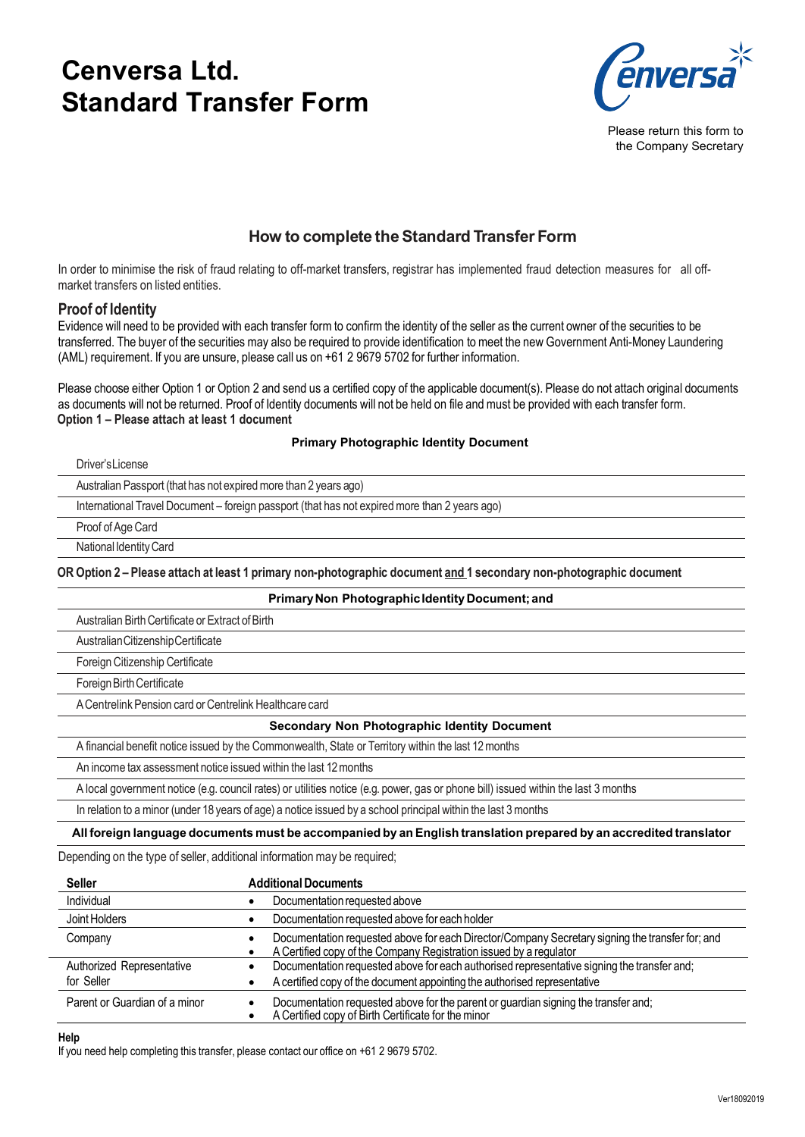# **Cenversa Ltd. Standard Transfer Form**



Please return this form to the Company Secretary

# **How to complete the Standard Transfer Form**

In order to minimise the risk of fraud relating to off-market transfers, registrar has implemented fraud detection measures for all offmarket transfers on listed entities.

#### **Proof of Identity**

Evidence will need to be provided with each transfer form to confirm the identity of the seller as the current owner of the securities to be transferred. The buyer of the securities may also be required to provide identification tomeet the new Government Anti-Money Laundering (AML) requirement. If you are unsure, please call us on +61 2 9679 5702 for further information.

Please choose either Option 1 or Option 2 and send us a certified copy of the applicable document(s). Please do not attach original documents as documents will not be returned. Proof of Identity documents will not be held on file and must be provided with each transfer form. **Option 1 – Please attach at least 1 document**

#### **Primary Photographic Identity Document**

| Driver's License                                                                                                   |  |
|--------------------------------------------------------------------------------------------------------------------|--|
| Australian Passport (that has not expired more than 2 years ago)                                                   |  |
| International Travel Document – foreign passport (that has not expired more than 2 years ago)                      |  |
| Proof of Age Card                                                                                                  |  |
| National Identity Card                                                                                             |  |
| OR Option 2 - Please attach at least 1 primary non-photographic document and 1 secondary non-photographic document |  |

| Primary Non Photographic Identity Document; and                                                                                    |
|------------------------------------------------------------------------------------------------------------------------------------|
| Australian Birth Certificate or Extract of Birth                                                                                   |
| Australian Citizenship Certificate                                                                                                 |
| Foreign Citizenship Certificate                                                                                                    |
| Foreign Birth Certificate                                                                                                          |
| A Centrelink Pension card or Centrelink Healthcare card                                                                            |
| <b>Secondary Non Photographic Identity Document</b>                                                                                |
| A financial benefit notice issued by the Commonwealth, State or Territory within the last 12 months                                |
| An income tax assessment notice issued within the last 12 months                                                                   |
| A local government notice (e.g. council rates) or utilities notice (e.g. power, gas or phone bill) issued within the last 3 months |
| In relation to a minor (under 18 years of age) a notice issued by a school principal within the last 3 months                      |

#### **All foreign language documents must be accompanied by anEnglish translation prepared by an accredited translator**

Depending on the type of seller, additional information may be required;

| <b>Seller</b>                           | <b>Additional Documents</b>                                                                                                                                             |
|-----------------------------------------|-------------------------------------------------------------------------------------------------------------------------------------------------------------------------|
| Individual                              | Documentation requested above                                                                                                                                           |
| Joint Holders                           | Documentation requested above for each holder                                                                                                                           |
| Company                                 | Documentation requested above for each Director/Company Secretary signing the transfer for; and<br>A Certified copy of the Company Registration issued by a regulator   |
| Authorized Representative<br>for Seller | Documentation requested above for each authorised representative signing the transfer and;<br>A certified copy of the document appointing the authorised representative |
| Parent or Guardian of a minor           | Documentation requested above for the parent or guardian signing the transfer and;<br>A Certified copy of Birth Certificate for the minor                               |

#### **Help**

If you need help completing this transfer, please contact our office on +61 2 9679 5702.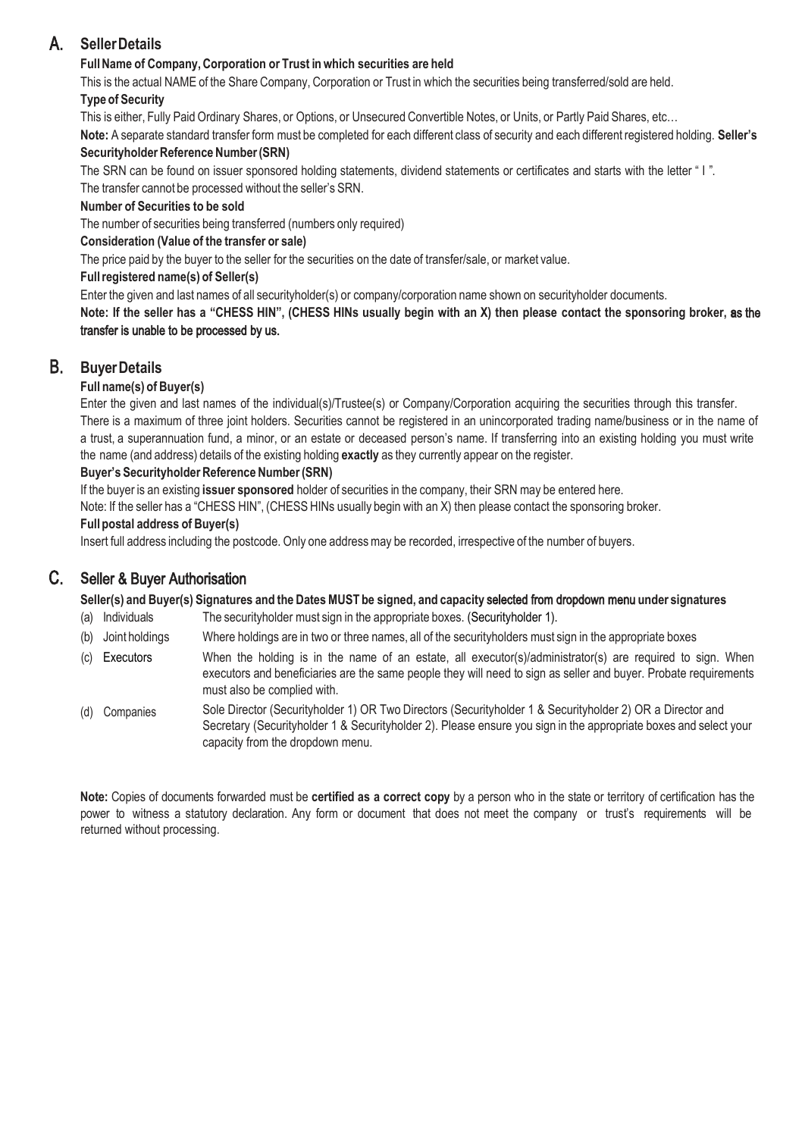# A. **Seller Details**

#### **Full Name of Company, Corporation or Trust inwhich securities are held**

This is the actual NAME of the Share Company, Corporation or Trust in which the securities being transferred/sold are held. **Type of Security**

This is either, Fully Paid Ordinary Shares, or Options, or Unsecured Convertible Notes, or Units, or Partly Paid Shares, etc…

**Note:** A separate standard transfer form must be completed for each different class of security and each different registered holding. **Seller's Securityholder Reference Number (SRN)**

The SRN can be found on issuer sponsored holding statements, dividend statements or certificates and starts with the letter " I".

The transfer cannot be processed without the seller's SRN.

#### **Number of Securities to be sold**

The number of securities being transferred (numbers only required)

#### **Consideration (Value of the transfer or sale)**

The price paid by the buyer to the seller for the securities on the date of transfer/sale, or market value.

#### **Full registered name(s) of Seller(s)**

Enter the given and last names of all securityholder(s) or company/corporation name shown on securityholder documents.

**Note: If the seller has a "CHESS HIN", (CHESS HINs usually begin with an X) then please contact the sponsoring broker,** as the **s** transfer is unable to be processed by us.

### B. **Buyer Details**

#### **Full name(s) of Buyer(s)**

Enter the given and last names of the individual(s)/Trustee(s) or Company/Corporation acquiring the securities through this transfer. There is a maximum of three joint holders. Securities cannot be registered in an unincorporated trading name/business or in the name of a trust, a superannuation fund, a minor, or an estate or deceased person's name. If transferring into an existing holding you must write the name (and address) details of the existing holding **exactly** as they currently appear on the register.

### **Buyer's Securityholder Reference Number (SRN)**

If the buyer is an existing **issuer sponsored** holder of securities in the company, their SRN may be entered here.

Note: If the seller has a "CHESS HIN", (CHESS HINs usually begin with an X) then please contact the sponsoring broker.

#### **Full postal address of Buyer(s)**

Insert full address including the postcode. Only one address may be recorded, irrespective of the number of buyers.

# C. **S**eller & Buyer Authorisation

**Seller(s) and Buyer(s) Signatures and the Dates MUST be signed, and capacity** selected from dropdown menu **under signatures**

- (a) Individuals The securityholder must sign in the appropriate boxes. (Securityholder 1).
- (b) Joint holdings Where holdings are in two or three names, all of the securityholders must sign in the appropriate boxes
- (c) Executors When the holding is in the name of an estate, all executor(s)/administrator(s) are required to sign. When executors and beneficiaries are the same people they will need to sign as seller and buyer. Probate requirements must also be complied with.
- (d) Companies Sole Director (Securityholder 1) OR Two Directors (Securityholder 1 & Securityholder 2) OR a Director and Secretary (Securityholder 1 & Securityholder 2). Please ensure you sign in the appropriate boxes and select your capacity from the dropdown menu.

**Note:** Copies of documents forwarded must be **certified as a correct copy** by a person who in the state or territory of certification has the power to witness a statutory declaration. Any form or document that does not meet the company or trust's requirements will be returned without processing.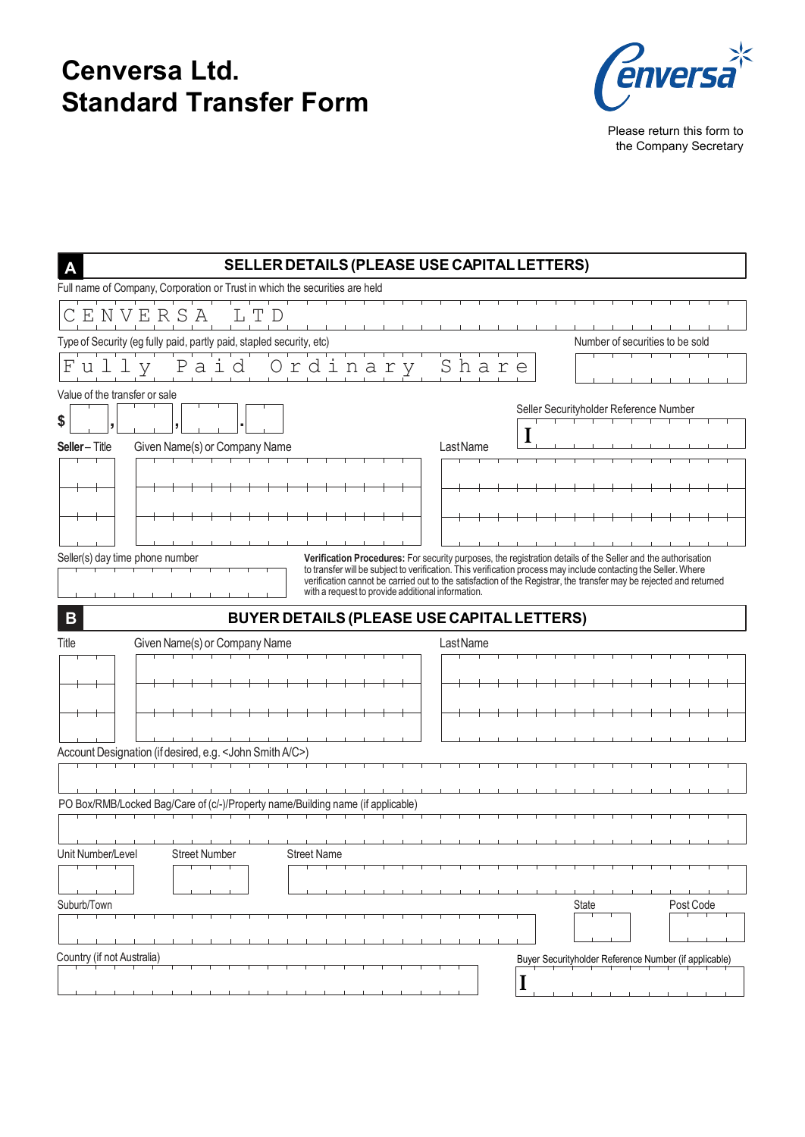# **Cenversa Ltd. Standard Transfer Form**



Please return this form to the Company Secretary

| SELLER DETAILS (PLEASE USE CAPITAL LETTERS)<br>$\overline{A}$                        |                                                                                                                                                                                                                                                                                                                                                       |
|--------------------------------------------------------------------------------------|-------------------------------------------------------------------------------------------------------------------------------------------------------------------------------------------------------------------------------------------------------------------------------------------------------------------------------------------------------|
| Full name of Company, Corporation or Trust in which the securities are held          |                                                                                                                                                                                                                                                                                                                                                       |
| CENVERSA                                                                             |                                                                                                                                                                                                                                                                                                                                                       |
| Type of Security (eg fully paid, partly paid, stapled security, etc)                 | Number of securities to be sold                                                                                                                                                                                                                                                                                                                       |
| Ordinary<br>Pai<br>$\mathbf{F}$<br>d<br>ullv                                         | Share                                                                                                                                                                                                                                                                                                                                                 |
| Value of the transfer or sale                                                        | Seller Securityholder Reference Number                                                                                                                                                                                                                                                                                                                |
| \$                                                                                   |                                                                                                                                                                                                                                                                                                                                                       |
| Given Name(s) or Company Name<br><b>Seller-Title</b>                                 | LastName                                                                                                                                                                                                                                                                                                                                              |
|                                                                                      |                                                                                                                                                                                                                                                                                                                                                       |
|                                                                                      |                                                                                                                                                                                                                                                                                                                                                       |
|                                                                                      |                                                                                                                                                                                                                                                                                                                                                       |
| Seller(s) day time phone number<br>with a request to provide additional information. | Verification Procedures: For security purposes, the registration details of the Seller and the authorisation<br>to transfer will be subject to verification. This verification process may include contacting the Seller. Where<br>verification cannot be carried out to the satisfaction of the Registrar, the transfer may be rejected and returned |
| $\overline{B}$<br>BUYER DETAILS (PLEASE USE CAPITAL LETTERS)                         |                                                                                                                                                                                                                                                                                                                                                       |
| Title<br>Given Name(s) or Company Name                                               | LastName                                                                                                                                                                                                                                                                                                                                              |
|                                                                                      |                                                                                                                                                                                                                                                                                                                                                       |
|                                                                                      |                                                                                                                                                                                                                                                                                                                                                       |
|                                                                                      |                                                                                                                                                                                                                                                                                                                                                       |
| Account Designation (if desired, e.g. < John Smith A/C>)                             |                                                                                                                                                                                                                                                                                                                                                       |
|                                                                                      |                                                                                                                                                                                                                                                                                                                                                       |
|                                                                                      |                                                                                                                                                                                                                                                                                                                                                       |
| PO Box/RMB/Locked Bag/Care of (c/-)/Property name/Building name (if applicable)      |                                                                                                                                                                                                                                                                                                                                                       |
|                                                                                      |                                                                                                                                                                                                                                                                                                                                                       |
| Unit Number/Level<br><b>Street Number</b><br><b>Street Name</b>                      |                                                                                                                                                                                                                                                                                                                                                       |
|                                                                                      |                                                                                                                                                                                                                                                                                                                                                       |
| Suburb/Town                                                                          | Post Code<br>State                                                                                                                                                                                                                                                                                                                                    |
|                                                                                      |                                                                                                                                                                                                                                                                                                                                                       |
| Country (if not Australia)                                                           | Buyer Securityholder Reference Number (if applicable)                                                                                                                                                                                                                                                                                                 |
|                                                                                      | J                                                                                                                                                                                                                                                                                                                                                     |
|                                                                                      |                                                                                                                                                                                                                                                                                                                                                       |